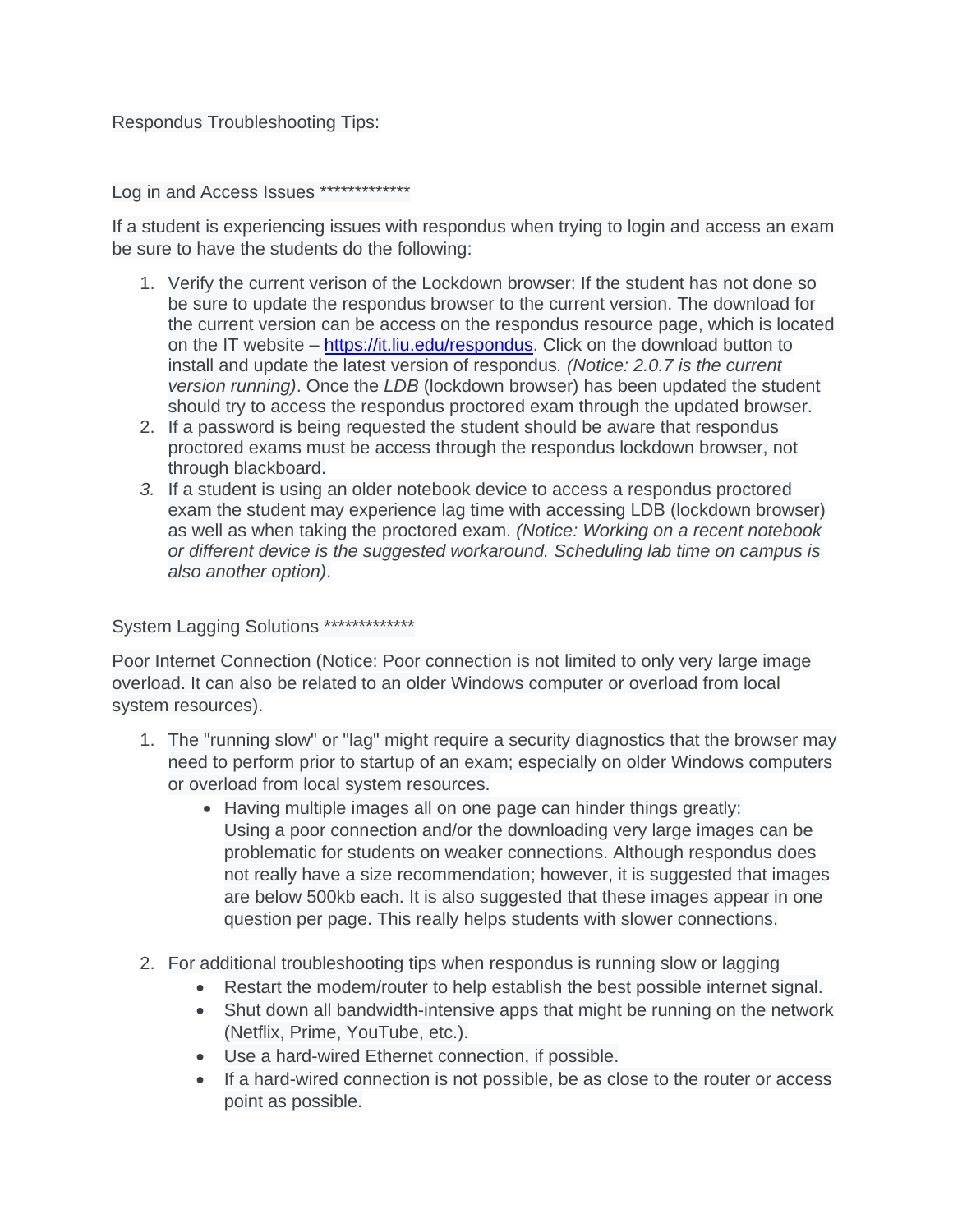## Respondus Troubleshooting Tips:

Log in and Access Issues \*\*\*\*\*\*\*\*\*\*\*\*\*\*

If a student is experiencing issues with respondus when trying to login and access an exam be sure to have the students do the following:

- 1. Verify the current verison of the Lockdown browser: If the student has not done so be sure to update the respondus browser to the current version. The download for the current version can be access on the respondus resource page, which is located on the IT website – [https://it.liu.edu/respondus.](https://it.liu.edu/respondus) Click on the download button to install and update the latest version of respondus*. (Notice: 2.0.7 is the current version running)*. Once the *LDB* (lockdown browser) has been updated the student should try to access the respondus proctored exam through the updated browser.
- 2. If a password is being requested the student should be aware that respondus proctored exams must be access through the respondus lockdown browser, not through blackboard.
- *3.* If a student is using an older notebook device to access a respondus proctored exam the student may experience lag time with accessing LDB (lockdown browser) as well as when taking the proctored exam. *(Notice: Working on a recent notebook or different device is the suggested workaround. Scheduling lab time on campus is also another option)*.

System Lagging Solutions \*\*\*\*\*\*\*\*\*\*\*\*\*\*

Poor Internet Connection (Notice: Poor connection is not limited to only very large image overload. It can also be related to an older Windows computer or overload from local system resources).

- 1. The "running slow" or "lag" might require a security diagnostics that the browser may need to perform prior to startup of an exam; especially on older Windows computers or overload from local system resources.
	- Having multiple images all on one page can hinder things greatly: Using a poor connection and/or the downloading very large images can be problematic for students on weaker connections. Although respondus does not really have a size recommendation; however, it is suggested that images are below 500kb each. It is also suggested that these images appear in one question per page. This really helps students with slower connections.
- 2. For additional troubleshooting tips when respondus is running slow or lagging
	- Restart the modem/router to help establish the best possible internet signal.
	- Shut down all bandwidth-intensive apps that might be running on the network (Netflix, Prime, YouTube, etc.).
	- Use a hard-wired Ethernet connection, if possible.
	- If a hard-wired connection is not possible, be as close to the router or access point as possible.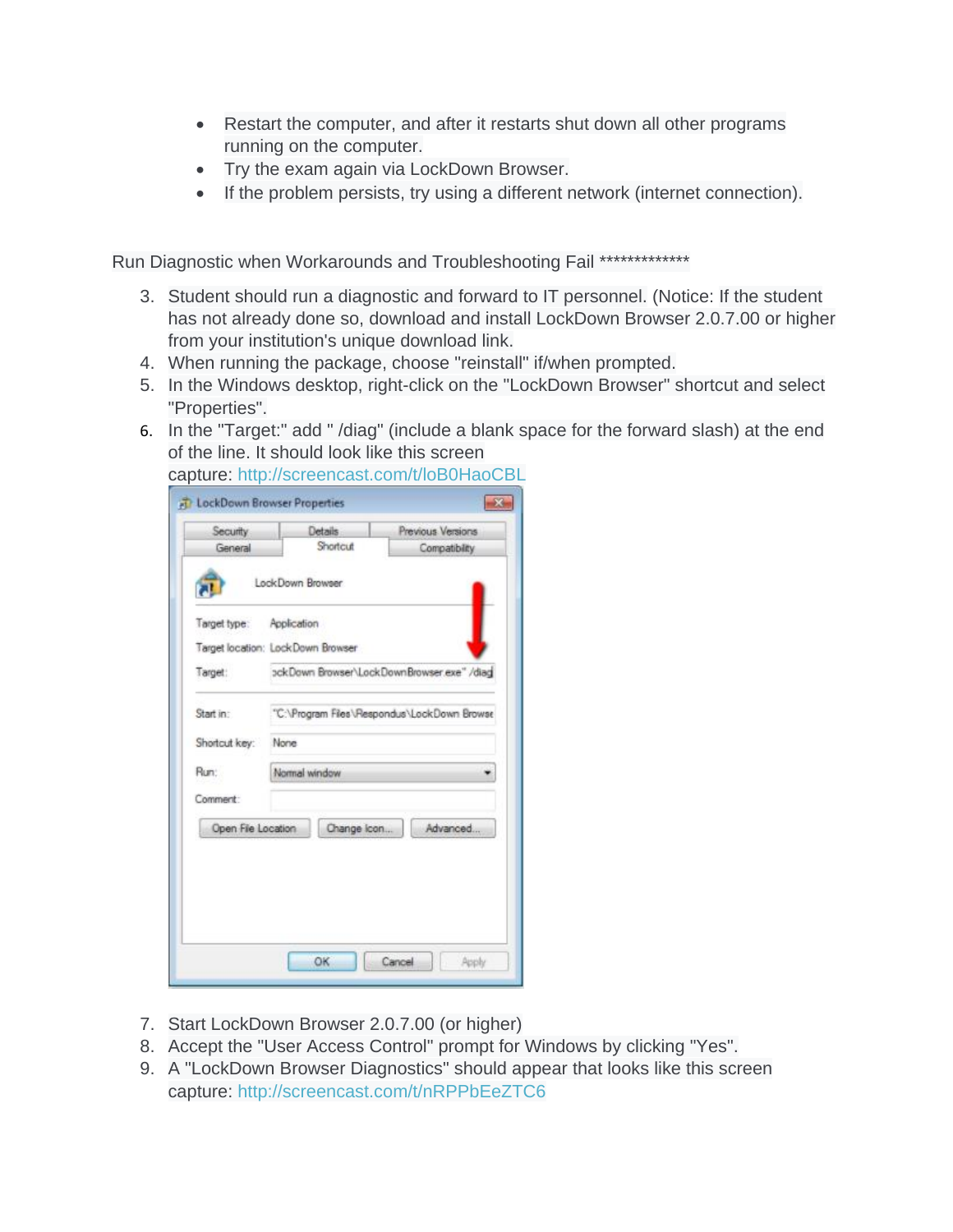- Restart the computer, and after it restarts shut down all other programs running on the computer.
- Try the exam again via LockDown Browser.
- If the problem persists, try using a different network (internet connection).

Run Diagnostic when Workarounds and Troubleshooting Fail \*\*\*\*\*\*\*\*\*\*\*\*\*\*

- 3. Student should run a diagnostic and forward to IT personnel. (Notice: If the student has not already done so, download and install LockDown Browser 2.0.7.00 or higher from your institution's unique download link.
- 4. When running the package, choose "reinstall" if/when prompted.
- 5. In the Windows desktop, right-click on the "LockDown Browser" shortcut and select "Properties".
- 6. In the "Target:" add " /diag" (include a blank space for the forward slash) at the end of the line. It should look like this screen

| Security                 | Details                                     | Previous Versions |
|--------------------------|---------------------------------------------|-------------------|
| General                  | Shortcut                                    | Compatibility     |
|                          | LockDown Browser                            |                   |
| Target type: Application |                                             |                   |
|                          | Target location: LockDown Browser           |                   |
| Target:                  | ockDown Browser\LockDownBrowser.exe" /diag  |                   |
| Start in:                | "C:\Program Files\Respondus\LockDown Browse |                   |
| Shortcut key:            | None                                        |                   |
| Run:                     | Normal window                               |                   |
| Comment:                 |                                             |                   |
| Open File Location       | Change Icon                                 | Advanced          |
|                          |                                             |                   |
|                          |                                             |                   |
|                          |                                             |                   |
|                          |                                             |                   |
|                          |                                             |                   |

capture: <http://screencast.com/t/loB0HaoCBL>

- 7. Start LockDown Browser 2.0.7.00 (or higher)
- 8. Accept the "User Access Control" prompt for Windows by clicking "Yes".
- 9. A "LockDown Browser Diagnostics" should appear that looks like this screen capture: <http://screencast.com/t/nRPPbEeZTC6>